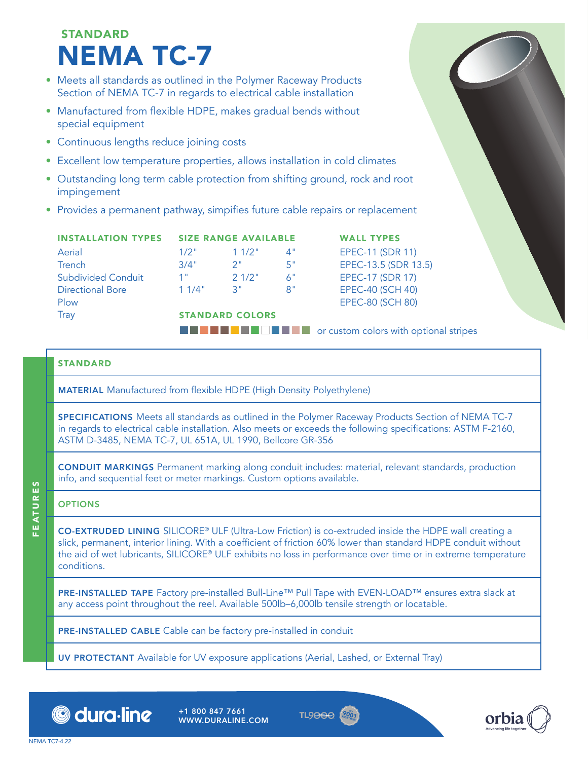# **STANDARD** NEMA TC-7

- Meets all standards as outlined in the Polymer Raceway Products Section of NEMA TC-7 in regards to electrical cable installation
- Manufactured from flexible HDPE, makes gradual bends without special equipment
- Continuous lengths reduce joining costs
- Excellent low temperature properties, allows installation in cold climates
- Outstanding long term cable protection from shifting ground, rock and root impingement
- Provides a permanent pathway, simpifies future cable repairs or replacement

|                           | <b>INSTALLATION TYPES SIZE RANGE AVAILABLE</b> |          |    | <b>WALL TYPES</b>                                      |  |  |  |
|---------------------------|------------------------------------------------|----------|----|--------------------------------------------------------|--|--|--|
| Aerial                    | $1/2$ "                                        | $11/2$ " | 4" | <b>EPEC-11 (SDR 11)</b>                                |  |  |  |
| Trench                    | 3/4"                                           | 2"       | 5" | EPEC-13.5 (SDR 13.5)                                   |  |  |  |
| <b>Subdivided Conduit</b> | 1 "                                            | 21/2"    | 6" | <b>EPEC-17 (SDR 17)</b>                                |  |  |  |
| <b>Directional Bore</b>   | 11/4"                                          | 3"       | 8" | <b>EPEC-40 (SCH 40)</b>                                |  |  |  |
| Plow                      |                                                |          |    | <b>EPEC-80 (SCH 80)</b>                                |  |  |  |
| Tray                      | <b>STANDARD COLORS</b>                         |          |    |                                                        |  |  |  |
|                           |                                                |          |    | <b>THE FIRM</b> or custom colors with optional stripes |  |  |  |

### **STANDARD**

MATERIAL Manufactured from flexible HDPE (High Density Polyethylene)

SPECIFICATIONS Meets all standards as outlined in the Polymer Raceway Products Section of NEMA TC-7 in regards to electrical cable installation. Also meets or exceeds the following specifications: ASTM F-2160, ASTM D-3485, NEMA TC-7, UL 651A, UL 1990, Bellcore GR-356

CONDUIT MARKINGS Permanent marking along conduit includes: material, relevant standards, production info, and sequential feet or meter markings. Custom options available.

### **OPTIONS**

CO-EXTRUDED LINING SILICORE® ULF (Ultra-Low Friction) is co-extruded inside the HDPE wall creating a slick, permanent, interior lining. With a coefficient of friction 60% lower than standard HDPE conduit without the aid of wet lubricants, SILICORE® ULF exhibits no loss in performance over time or in extreme temperature conditions.

PRE-INSTALLED TAPE Factory pre-installed Bull-Line™ Pull Tape with EVEN-LOAD™ ensures extra slack at any access point throughout the reel. Available 500lb–6,000lb tensile strength or locatable.

PRE-INSTALLED CABLE Cable can be factory pre-installed in conduit

UV PROTECTANT Available for UV exposure applications (Aerial, Lashed, or External Tray)



+1 800 847 7661 WWW.DURALINE.COM





FEATURES

FEATURES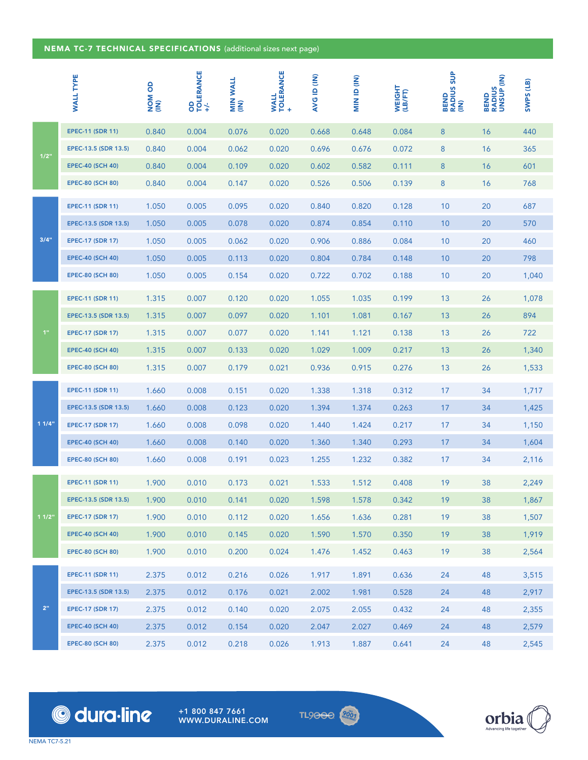#### NEMA TC-7 TECHNICAL SPECIFICATIONS (additional sizes next page)

|             | <b>WALL TYPE</b>        | <b>NOM OD</b><br>(IN) | <b>OD<br/>TOLERANCE</b><br>ነ | MIN WALL<br>(IN) | TOLERANCE<br>+<br><b>WALL</b> | <b>AVG ID (IN)</b> | MIN ID (IN) | WEIGHT<br>(LB/FT) | <b>RADIUS SUP</b><br>BEND<br>g | <b>RADIUS</b><br>UNSUP (IN)<br>BEND | SWPS (LB) |
|-------------|-------------------------|-----------------------|------------------------------|------------------|-------------------------------|--------------------|-------------|-------------------|--------------------------------|-------------------------------------|-----------|
| 1/2"        | <b>EPEC-11 (SDR 11)</b> | 0.840                 | 0.004                        | 0.076            | 0.020                         | 0.668              | 0.648       | 0.084             | 8                              | 16                                  | 440       |
|             | EPEC-13.5 (SDR 13.5)    | 0.840                 | 0.004                        | 0.062            | 0.020                         | 0.696              | 0.676       | 0.072             | 8                              | 16                                  | 365       |
|             | <b>EPEC-40 (SCH 40)</b> | 0.840                 | 0.004                        | 0.109            | 0.020                         | 0.602              | 0.582       | 0.111             | 8                              | 16                                  | 601       |
|             | <b>EPEC-80 (SCH 80)</b> | 0.840                 | 0.004                        | 0.147            | 0.020                         | 0.526              | 0.506       | 0.139             | 8                              | 16                                  | 768       |
|             | <b>EPEC-11 (SDR 11)</b> | 1.050                 | 0.005                        | 0.095            | 0.020                         | 0.840              | 0.820       | 0.128             | 10                             | 20                                  | 687       |
|             | EPEC-13.5 (SDR 13.5)    | 1.050                 | 0.005                        | 0.078            | 0.020                         | 0.874              | 0.854       | 0.110             | 10                             | 20                                  | 570       |
| 3/4"        | <b>EPEC-17 (SDR 17)</b> | 1.050                 | 0.005                        | 0.062            | 0.020                         | 0.906              | 0.886       | 0.084             | 10                             | 20                                  | 460       |
|             | <b>EPEC-40 (SCH 40)</b> | 1.050                 | 0.005                        | 0.113            | 0.020                         | 0.804              | 0.784       | 0.148             | 10                             | 20                                  | 798       |
|             | <b>EPEC-80 (SCH 80)</b> | 1.050                 | 0.005                        | 0.154            | 0.020                         | 0.722              | 0.702       | 0.188             | 10                             | 20                                  | 1,040     |
|             | <b>EPEC-11 (SDR 11)</b> | 1.315                 | 0.007                        | 0.120            | 0.020                         | 1.055              | 1.035       | 0.199             | 13                             | 26                                  | 1,078     |
|             | EPEC-13.5 (SDR 13.5)    | 1.315                 | 0.007                        | 0.097            | 0.020                         | 1.101              | 1.081       | 0.167             | 13                             | 26                                  | 894       |
| $1"$        | <b>EPEC-17 (SDR 17)</b> | 1.315                 | 0.007                        | 0.077            | 0.020                         | 1.141              | 1.121       | 0.138             | 13                             | 26                                  | 722       |
|             | <b>EPEC-40 (SCH 40)</b> | 1.315                 | 0.007                        | 0.133            | 0.020                         | 1.029              | 1.009       | 0.217             | 13                             | 26                                  | 1,340     |
|             | <b>EPEC-80 (SCH 80)</b> | 1.315                 | 0.007                        | 0.179            | 0.021                         | 0.936              | 0.915       | 0.276             | 13                             | 26                                  | 1,533     |
|             | <b>EPEC-11 (SDR 11)</b> | 1.660                 | 0.008                        | 0.151            | 0.020                         | 1.338              | 1.318       | 0.312             | 17                             | 34                                  | 1,717     |
|             | EPEC-13.5 (SDR 13.5)    | 1.660                 | 0.008                        | 0.123            | 0.020                         | 1.394              | 1.374       | 0.263             | 17                             | 34                                  | 1,425     |
| 11/4"       | <b>EPEC-17 (SDR 17)</b> | 1.660                 | 0.008                        | 0.098            | 0.020                         | 1.440              | 1.424       | 0.217             | 17                             | 34                                  | 1,150     |
|             | <b>EPEC-40 (SCH 40)</b> | 1.660                 | 0.008                        | 0.140            | 0.020                         | 1.360              | 1.340       | 0.293             | 17                             | 34                                  | 1,604     |
|             | <b>EPEC-80 (SCH 80)</b> | 1.660                 | 0.008                        | 0.191            | 0.023                         | 1.255              | 1.232       | 0.382             | 17                             | 34                                  | 2,116     |
| 11/2"       | <b>EPEC-11 (SDR 11)</b> | 1.900                 | 0.010                        | 0.173            | 0.021                         | 1.533              | 1.512       | 0.408             | 19                             | 38                                  | 2,249     |
|             | EPEC-13.5 (SDR 13.5)    | 1.900                 | 0.010                        | 0.141            | 0.020                         | 1.598              | 1.578       | 0.342             | 19                             | 38                                  | 1,867     |
|             | <b>EPEC-17 (SDR 17)</b> | 1.900                 | 0.010                        | 0.112            | 0.020                         | 1.656              | 1.636       | 0.281             | 19                             | 38                                  | 1,507     |
|             | <b>EPEC-40 (SCH 40)</b> | 1.900                 | 0.010                        | 0.145            | 0.020                         | 1.590              | 1.570       | 0.350             | 19                             | 38                                  | 1,919     |
|             | <b>EPEC-80 (SCH 80)</b> | 1.900                 | 0.010                        | 0.200            | 0.024                         | 1.476              | 1.452       | 0.463             | 19                             | 38                                  | 2,564     |
| $2^{\rm n}$ | <b>EPEC-11 (SDR 11)</b> | 2.375                 | 0.012                        | 0.216            | 0.026                         | 1.917              | 1.891       | 0.636             | 24                             | 48                                  | 3,515     |
|             | EPEC-13.5 (SDR 13.5)    | 2.375                 | 0.012                        | 0.176            | 0.021                         | 2.002              | 1.981       | 0.528             | 24                             | 48                                  | 2,917     |
|             | <b>EPEC-17 (SDR 17)</b> | 2.375                 | 0.012                        | 0.140            | 0.020                         | 2.075              | 2.055       | 0.432             | 24                             | 48                                  | 2,355     |
|             | <b>EPEC-40 (SCH 40)</b> | 2.375                 | 0.012                        | 0.154            | 0.020                         | 2.047              | 2.027       | 0.469             | 24                             | 48                                  | 2,579     |
|             | <b>EPEC-80 (SCH 80)</b> | 2.375                 | 0.012                        | 0.218            | 0.026                         | 1.913              | 1.887       | 0.641             | 24                             | 48                                  | 2,545     |



+1 800 847 7661 WWW.DURALINE.COM **TL9000 2001** 

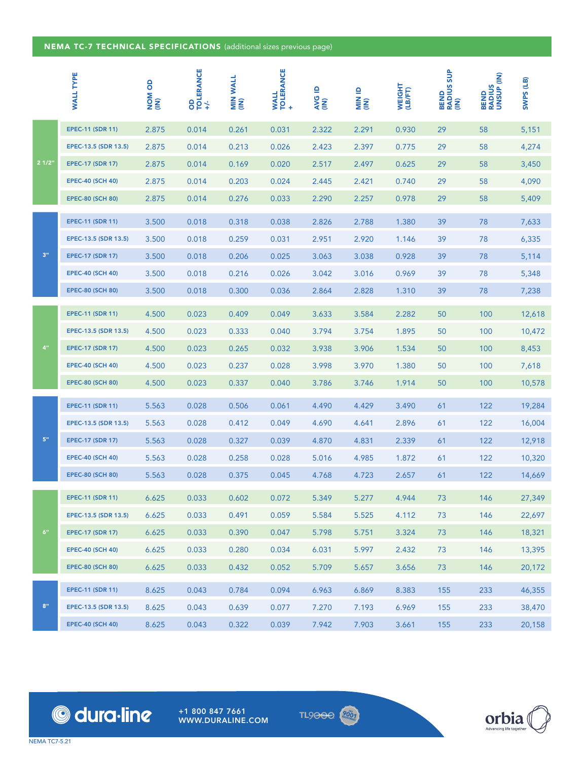## NEMA TC-7 TECHNICAL SPECIFICATIONS (additional sizes previous page)

|                           | <b>WALL TYPE</b>                                | <b>NOM OD</b><br>(IN) | OD<br>TOLERANCE<br>+/. | MIN WALL<br>(IN) | <b>WALL<br/>TOLERANCE</b> | ≙<br>AVG<br>(IN) | al Nily        | WEIGHT<br>(LB/FT) | <b>BEND<br/>RADIUS SUP<br/>(IN)</b> | <b>BEND<br/>RADIUS<br/>UNSUP (IN)</b> | SWPS (LB)        |
|---------------------------|-------------------------------------------------|-----------------------|------------------------|------------------|---------------------------|------------------|----------------|-------------------|-------------------------------------|---------------------------------------|------------------|
| 21/2"                     | <b>EPEC-11 (SDR 11)</b>                         | 2.875                 | 0.014                  | 0.261            | 0.031                     | 2.322            | 2.291          | 0.930             | 29                                  | 58                                    | 5,151            |
|                           | EPEC-13.5 (SDR 13.5)                            | 2.875                 | 0.014                  | 0.213            | 0.026                     | 2.423            | 2.397          | 0.775             | 29                                  | 58                                    | 4,274            |
|                           | <b>EPEC-17 (SDR 17)</b>                         | 2.875                 | 0.014                  | 0.169            | 0.020                     | 2.517            | 2.497          | 0.625             | 29                                  | 58                                    | 3,450            |
|                           | <b>EPEC-40 (SCH 40)</b>                         | 2.875                 | 0.014                  | 0.203            | 0.024                     | 2.445            | 2.421          | 0.740             | 29                                  | 58                                    | 4,090            |
|                           | <b>EPEC-80 (SCH 80)</b>                         | 2.875                 | 0.014                  | 0.276            | 0.033                     | 2.290            | 2.257          | 0.978             | 29                                  | 58                                    | 5,409            |
|                           | <b>EPEC-11 (SDR 11)</b>                         | 3.500                 | 0.018                  | 0.318            | 0.038                     | 2.826            | 2.788          | 1.380             | 39                                  | 78                                    | 7,633            |
|                           | EPEC-13.5 (SDR 13.5)                            | 3.500                 | 0.018                  | 0.259            | 0.031                     | 2.951            | 2.920          | 1.146             | 39                                  | 78                                    | 6,335            |
| $3"$                      | <b>EPEC-17 (SDR 17)</b>                         | 3.500                 | 0.018                  | 0.206            | 0.025                     | 3.063            | 3.038          | 0.928             | 39                                  | 78                                    | 5,114            |
|                           | <b>EPEC-40 (SCH 40)</b>                         | 3.500                 | 0.018                  | 0.216            | 0.026                     | 3.042            | 3.016          | 0.969             | 39                                  | 78                                    | 5,348            |
|                           | <b>EPEC-80 (SCH 80)</b>                         | 3.500                 | 0.018                  | 0.300            | 0.036                     | 2.864            | 2.828          | 1.310             | 39                                  | 78                                    | 7,238            |
|                           | <b>EPEC-11 (SDR 11)</b>                         | 4.500                 | 0.023                  | 0.409            | 0.049                     | 3.633            | 3.584          | 2.282             | 50                                  | 100                                   | 12,618           |
|                           | EPEC-13.5 (SDR 13.5)                            | 4.500                 | 0.023                  | 0.333            | 0.040                     | 3.794            | 3.754          | 1.895             | 50                                  | 100                                   | 10,472           |
| 4"                        | <b>EPEC-17 (SDR 17)</b>                         | 4.500                 | 0.023                  | 0.265            | 0.032                     | 3.938            | 3.906          | 1.534             | 50                                  | 100                                   | 8,453            |
|                           | <b>EPEC-40 (SCH 40)</b>                         | 4.500                 | 0.023                  | 0.237            | 0.028                     | 3.998            | 3.970          | 1.380             | 50                                  | 100                                   | 7,618            |
|                           | <b>EPEC-80 (SCH 80)</b>                         | 4.500                 | 0.023                  | 0.337            | 0.040                     | 3.786            | 3.746          | 1.914             | 50                                  | 100                                   | 10,578           |
|                           |                                                 |                       |                        |                  |                           |                  |                |                   |                                     |                                       |                  |
|                           | <b>EPEC-11 (SDR 11)</b>                         | 5.563                 | 0.028                  | 0.506            | 0.061                     | 4.490            | 4.429          | 3.490             | 61                                  | 122                                   | 19,284           |
| ${\bf 5}^{\rm n}$         | EPEC-13.5 (SDR 13.5)<br><b>EPEC-17 (SDR 17)</b> | 5.563<br>5.563        | 0.028<br>0.028         | 0.412<br>0.327   | 0.049<br>0.039            | 4.690            | 4.641<br>4.831 | 2.896<br>2.339    | 61<br>61                            | 122<br>122                            | 16,004<br>12,918 |
|                           | <b>EPEC-40 (SCH 40)</b>                         | 5.563                 | 0.028                  | 0.258            | 0.028                     | 4.870<br>5.016   | 4.985          | 1.872             | 61                                  | 122                                   | 10,320           |
|                           | <b>EPEC-80 (SCH 80)</b>                         | 5.563                 | 0.028                  | 0.375            | 0.045                     | 4.768            | 4.723          | 2.657             | 61                                  | 122                                   | 14,669           |
|                           |                                                 |                       |                        |                  |                           |                  |                |                   |                                     |                                       |                  |
|                           | <b>EPEC-11 (SDR 11)</b>                         | 6.625                 | 0.033                  | 0.602            | 0.072                     | 5.349            | 5.277          | 4.944             | 73                                  | 146                                   | 27,349           |
| $6"$                      | EPEC-13.5 (SDR 13.5)                            | 6.625                 | 0.033                  | 0.491            | 0.059                     | 5.584            | 5.525          | 4.112             | 73                                  | 146                                   | 22,697           |
|                           | <b>EPEC-17 (SDR 17)</b>                         | 6.625                 | 0.033                  | 0.390            | 0.047                     | 5.798            | 5.751          | 3.324             | 73                                  | 146                                   | 18,321           |
|                           | <b>EPEC-40 (SCH 40)</b>                         | 6.625                 | 0.033                  | 0.280            | 0.034                     | 6.031            | 5.997          | 2.432             | 73                                  | 146                                   | 13,395           |
|                           | <b>EPEC-80 (SCH 80)</b>                         | 6.625                 | 0.033                  | 0.432            | 0.052                     | 5.709            | 5.657          | 3.656             | 73                                  | 146                                   | 20,172           |
| $\mathbf{8}^{\mathrm{m}}$ | <b>EPEC-11 (SDR 11)</b>                         | 8.625                 | 0.043                  | 0.784            | 0.094                     | 6.963            | 6.869          | 8.383             | 155                                 | 233                                   | 46,355           |
|                           | EPEC-13.5 (SDR 13.5)                            | 8.625                 | 0.043                  | 0.639            | 0.077                     | 7.270            | 7.193          | 6.969             | 155                                 | 233                                   | 38,470           |
|                           | <b>EPEC-40 (SCH 40)</b>                         | 8.625                 | 0.043                  | 0.322            | 0.039                     | 7.942            | 7.903          | 3.661             | 155                                 | 233                                   | 20,158           |



© dura·line

+1 800 847 7661 WWW.DURALINE.COM TL9000<sup>200</sup>1

**NEMA TC7-5.21**